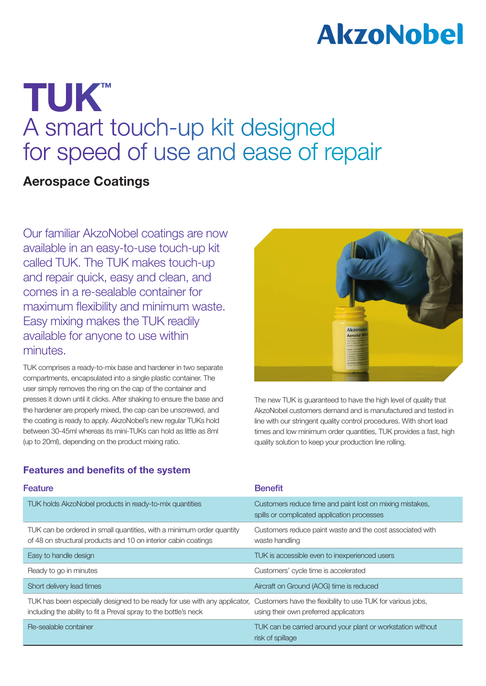# **AkzoNobel**

## TUK™ A smart touch-up kit designed for speed of use and ease of repair

### Aerospace Coatings

Our familiar AkzoNobel coatings are now available in an easy-to-use touch-up kit called TUK. The TUK makes touch-up and repair quick, easy and clean, and comes in a re-sealable container for maximum flexibility and minimum waste. Easy mixing makes the TUK readily available for anyone to use within minutes.

TUK comprises a ready-to-mix base and hardener in two separate compartments, encapsulated into a single plastic container. The user simply removes the ring on the cap of the container and presses it down until it clicks. After shaking to ensure the base and the hardener are properly mixed, the cap can be unscrewed, and the coating is ready to apply. AkzoNobel's new regular TUKs hold between 30-45ml whereas its mini-TUKs can hold as little as 8ml (up to 20ml), depending on the product mixing ratio.



The new TUK is guaranteed to have the high level of quality that AkzoNobel customers demand and is manufactured and tested in line with our stringent quality control procedures. With short lead times and low minimum order quantities, TUK provides a fast, high quality solution to keep your production line rolling.

#### Features and benefits of the system

| <b>Feature</b>                                                                                                                                | <b>Benefit</b>                                                                                          |
|-----------------------------------------------------------------------------------------------------------------------------------------------|---------------------------------------------------------------------------------------------------------|
| TUK holds AkzoNobel products in ready-to-mix quantities                                                                                       | Customers reduce time and paint lost on mixing mistakes,<br>spills or complicated application processes |
| TUK can be ordered in small quantities, with a minimum order quantity<br>of 48 on structural products and 10 on interior cabin coatings       | Customers reduce paint waste and the cost associated with<br>waste handling                             |
| Easy to handle design                                                                                                                         | TUK is accessible even to inexperienced users                                                           |
| Ready to go in minutes                                                                                                                        | Customers' cycle time is accelerated                                                                    |
| Short delivery lead times                                                                                                                     | Aircraft on Ground (AOG) time is reduced                                                                |
| TUK has been especially designed to be ready for use with any applicator,<br>including the ability to fit a Preval spray to the bottle's neck | Customers have the flexibility to use TUK for various jobs,<br>using their own preferred applicators    |
| Re-sealable container                                                                                                                         | TUK can be carried around your plant or workstation without<br>risk of spillage                         |